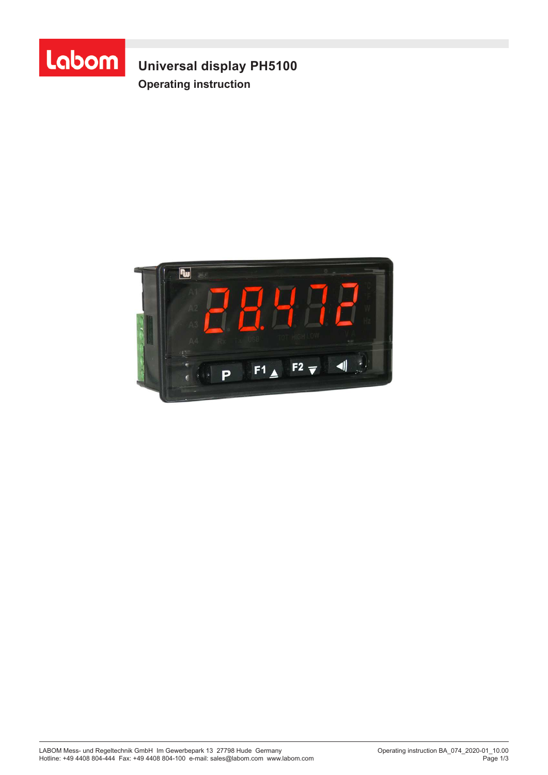

**Universal display PH5100 Operating instruction**

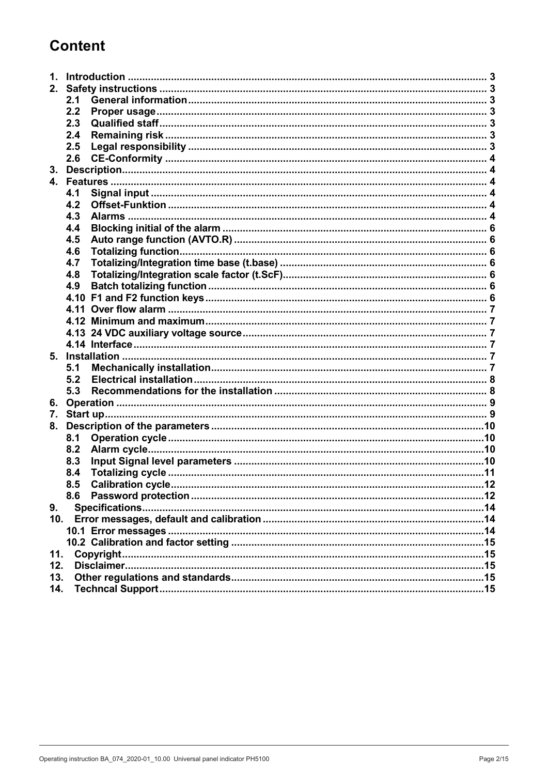# **Content**

| 1.              |     |           |  |  |
|-----------------|-----|-----------|--|--|
|                 |     |           |  |  |
|                 | 2.1 |           |  |  |
|                 | 2.2 |           |  |  |
|                 | 2.3 |           |  |  |
|                 | 2.4 |           |  |  |
|                 | 2.5 |           |  |  |
|                 | 2.6 |           |  |  |
| 3.              |     |           |  |  |
|                 |     |           |  |  |
|                 | 4.1 |           |  |  |
|                 | 4.2 |           |  |  |
|                 | 4.3 |           |  |  |
|                 | 4.4 |           |  |  |
|                 | 4.5 |           |  |  |
|                 | 4.6 |           |  |  |
|                 | 4.7 |           |  |  |
|                 | 4.8 |           |  |  |
|                 | 4.9 |           |  |  |
|                 |     |           |  |  |
|                 |     |           |  |  |
|                 |     |           |  |  |
|                 |     |           |  |  |
|                 |     |           |  |  |
|                 |     |           |  |  |
|                 | 5.1 |           |  |  |
|                 | 5.2 |           |  |  |
|                 | 5.3 |           |  |  |
|                 |     |           |  |  |
|                 |     |           |  |  |
|                 |     |           |  |  |
|                 | 8.1 |           |  |  |
|                 | 8.2 |           |  |  |
|                 | 8.3 |           |  |  |
|                 | 8.4 |           |  |  |
|                 | 8.5 |           |  |  |
|                 | 8.6 |           |  |  |
| 9.              |     |           |  |  |
| 10 <sub>1</sub> |     |           |  |  |
|                 |     |           |  |  |
|                 |     |           |  |  |
| 11.             |     | Copyright |  |  |
| 12.             |     |           |  |  |
| 13.             |     |           |  |  |
| 14.             |     |           |  |  |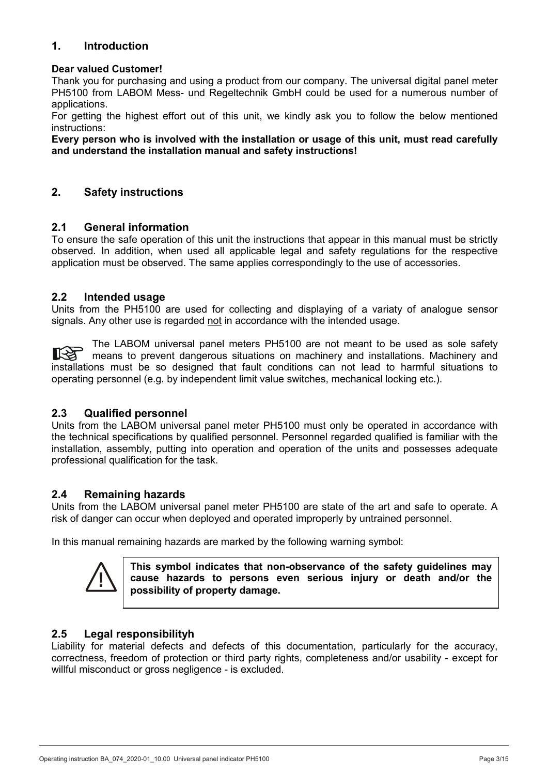### **1. Introduction**

#### **Dear valued Customer!**

Thank you for purchasing and using a product from our company. The universal digital panel meter PH5100 from LABOM Mess- und Regeltechnik GmbH could be used for a numerous number of applications.

For getting the highest effort out of this unit, we kindly ask you to follow the below mentioned instructions:

**Every person who is involved with the installation or usage of this unit, must read carefully and understand the installation manual and safety instructions!** 

### **2. Safety instructions**

#### **2.1 General information**

To ensure the safe operation of this unit the instructions that appear in this manual must be strictly observed. In addition, when used all applicable legal and safety regulations for the respective application must be observed. The same applies correspondingly to the use of accessories.

#### **2.2 Intended usage**

Units from the PH5100 are used for collecting and displaying of a variaty of analogue sensor signals. Any other use is regarded not in accordance with the intended usage.

The LABOM universal panel meters PH5100 are not meant to be used as sole safety 长头 means to prevent dangerous situations on machinery and installations. Machinery and installations must be so designed that fault conditions can not lead to harmful situations to operating personnel (e.g. by independent limit value switches, mechanical locking etc.).

### **2.3 Qualified personnel**

Units from the LABOM universal panel meter PH5100 must only be operated in accordance with the technical specifications by qualified personnel. Personnel regarded qualified is familiar with the installation, assembly, putting into operation and operation of the units and possesses adequate professional qualification for the task.

### **2.4 Remaining hazards**

Units from the LABOM universal panel meter PH5100 are state of the art and safe to operate. A risk of danger can occur when deployed and operated improperly by untrained personnel.

In this manual remaining hazards are marked by the following warning symbol:



**This symbol indicates that non-observance of the safety guidelines may cause hazards to persons even serious injury or death and/or the possibility of property damage.** 

#### **2.5 Legal responsibilityh**

Liability for material defects and defects of this documentation, particularly for the accuracy, correctness, freedom of protection or third party rights, completeness and/or usability - except for willful misconduct or gross negligence - is excluded.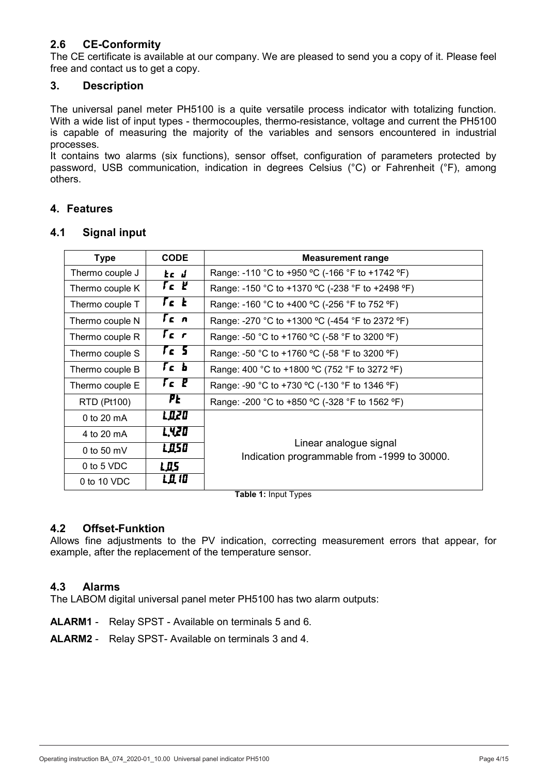### **2.6 CE-Conformity**

The CE certificate is available at our company. We are pleased to send you a copy of it. Please feel free and contact us to get a copy.

#### **3. Description**

The universal panel meter PH5100 is a quite versatile process indicator with totalizing function. With a wide list of input types - thermocouples, thermo-resistance, voltage and current the PH5100 is capable of measuring the majority of the variables and sensors encountered in industrial processes.

It contains two alarms (six functions), sensor offset, configuration of parameters protected by password, USB communication, indication in degrees Celsius (°C) or Fahrenheit (°F), among others.

### **4. Features**

| <b>Type</b>        | <b>CODE</b>  | <b>Measurement range</b>                                               |
|--------------------|--------------|------------------------------------------------------------------------|
| Thermo couple J    | kc d         | Range: -110 °C to +950 °C (-166 °F to +1742 °F)                        |
| Thermo couple K    | Tc L         | Range: -150 °C to +1370 °C (-238 °F to +2498 °F)                       |
| Thermo couple T    | $r_c$ $r_c$  | Range: -160 °C to +400 °C (-256 °F to 752 °F)                          |
| Thermo couple N    | Гc n         | Range: -270 °C to +1300 °C (-454 °F to 2372 °F)                        |
| Thermo couple R    | $\Gamma$ c r | Range: -50 °C to +1760 °C (-58 °F to 3200 °F)                          |
| Thermo couple S    | $\sqrt{5}$   | Range: -50 °C to +1760 °C (-58 °F to 3200 °F)                          |
| Thermo couple B    | rc b         | Range: 400 °C to +1800 °C (752 °F to 3272 °F)                          |
| Thermo couple E    | $r_c$ $r$    | Range: -90 °C to +730 °C (-130 °F to 1346 °F)                          |
| <b>RTD (Pt100)</b> | PŁ           | Range: -200 °C to +850 °C (-328 °F to 1562 °F)                         |
| 0 to 20 $mA$       | <b>LOZO</b>  |                                                                        |
| 4 to 20 mA         | L.420        |                                                                        |
| 0 to 50 $mV$       | <b>LOSO</b>  | Linear analogue signal<br>Indication programmable from -1999 to 30000. |
| 0 to 5 VDC         | LΩS          |                                                                        |
| $0$ to 10 VDC      | L.O. 10      |                                                                        |

#### **4.1 Signal input**

**Table 1:** Input Types

### **4.2 Offset-Funktion**

Allows fine adjustments to the PV indication, correcting measurement errors that appear, for example, after the replacement of the temperature sensor.

### **4.3 Alarms**

The LABOM digital universal panel meter PH5100 has two alarm outputs:

- **ALARM1** Relay SPST Available on terminals 5 and 6.
- **ALARM2**  Relay SPST- Available on terminals 3 and 4.

- 4 - BA\_074e, Rev.1C5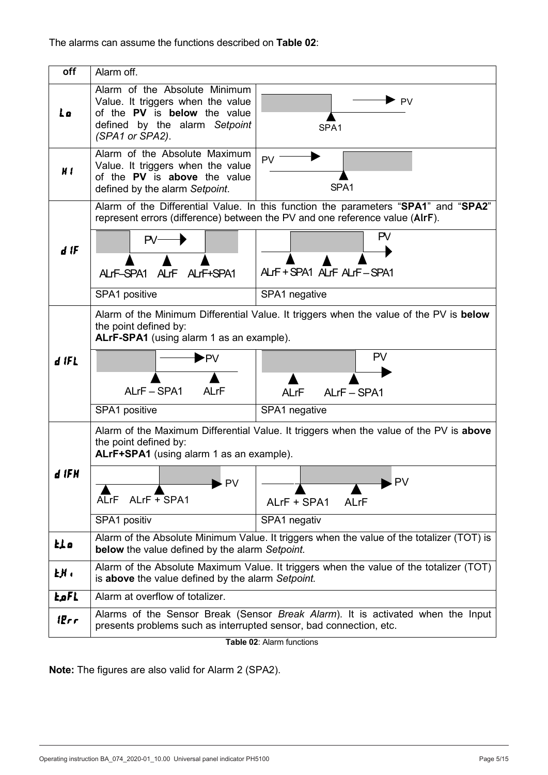The alarms can assume the functions described on **Table 02**:

| off                       | Alarm off.                                                                                                                                                  |                                                                                                                                                                    |  |
|---------------------------|-------------------------------------------------------------------------------------------------------------------------------------------------------------|--------------------------------------------------------------------------------------------------------------------------------------------------------------------|--|
| Lo                        | Alarm of the Absolute Minimum<br>Value. It triggers when the value<br>of the PV is below the value<br>defined by the alarm Setpoint<br>(SPA1 or SPA2).      | $\blacktriangleright$ PV<br>SPA1                                                                                                                                   |  |
| H1                        | Alarm of the Absolute Maximum<br>Value. It triggers when the value<br>of the PV is above the value<br>defined by the alarm Setpoint.                        | PV<br>SPA <sub>1</sub>                                                                                                                                             |  |
|                           |                                                                                                                                                             | Alarm of the Differential Value. In this function the parameters "SPA1" and "SPA2"<br>represent errors (difference) between the PV and one reference value (AIrF). |  |
| d IF                      | PV <sub>1</sub><br>ALIF-SPA1 ALIF ALIF+SPA1                                                                                                                 | PV<br>ALIF + SPA1 ALIF ALIF - SPA1                                                                                                                                 |  |
|                           | SPA1 positive                                                                                                                                               | SPA1 negative                                                                                                                                                      |  |
|                           | Alarm of the Minimum Differential Value. It triggers when the value of the PV is below<br>the point defined by:<br>ALrF-SPA1 (using alarm 1 as an example). |                                                                                                                                                                    |  |
| $d$ if $L$                | $\blacktriangleright$ PV<br>ALrF-SPA1<br><b>ALrF</b>                                                                                                        | PV<br>ALrF - SPA1<br><b>ALrF</b>                                                                                                                                   |  |
|                           | SPA1 positive                                                                                                                                               | SPA1 negative                                                                                                                                                      |  |
|                           | the point defined by:<br>ALrF+SPA1 (using alarm 1 as an example).                                                                                           | Alarm of the Maximum Differential Value. It triggers when the value of the PV is above                                                                             |  |
| d ifh                     | PV<br><b>ALrF</b><br>ALrF + SPA1                                                                                                                            | $\blacktriangleright$ PV<br>ALrF + SPA1<br><b>ALrF</b>                                                                                                             |  |
|                           | SPA1 positiv                                                                                                                                                | SPA1 negativ                                                                                                                                                       |  |
| <b>EL</b> o               | Alarm of the Absolute Minimum Value. It triggers when the value of the totalizer (TOT) is<br><b>below</b> the value defined by the alarm Setpoint.          |                                                                                                                                                                    |  |
| ŁH.                       | Alarm of the Absolute Maximum Value. It triggers when the value of the totalizer (TOT)<br>is above the value defined by the alarm Setpoint.                 |                                                                                                                                                                    |  |
| <b>LoFL</b>               | Alarm at overflow of totalizer.                                                                                                                             |                                                                                                                                                                    |  |
| l <sub>er</sub>           | Alarms of the Sensor Break (Sensor Break Alarm). It is activated when the Input<br>presents problems such as interrupted sensor, bad connection, etc.       |                                                                                                                                                                    |  |
| Table 02: Alarm functions |                                                                                                                                                             |                                                                                                                                                                    |  |

**Note:** The figures are also valid for Alarm 2 (SPA2).

 $\sim$  5  $-$  BA $\sim$  5  $-$  BA $\sim$  5  $\sim$  5  $\sim$  5  $\sim$  5  $\sim$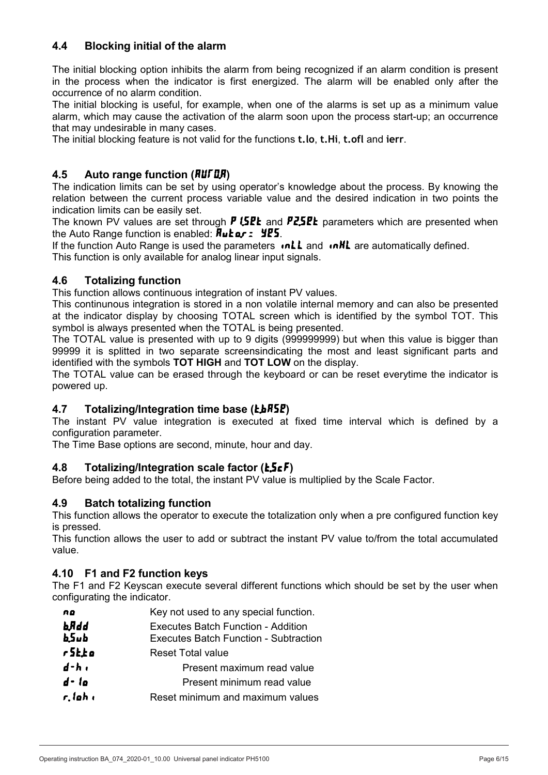### **4.4 Blocking initial of the alarm**

The initial blocking option inhibits the alarm from being recognized if an alarm condition is present in the process when the indicator is first energized. The alarm will be enabled only after the occurrence of no alarm condition.

The initial blocking is useful, for example, when one of the alarms is set up as a minimum value alarm, which may cause the activation of the alarm soon upon the process start-up; an occurrence that may undesirable in many cases.

The initial blocking feature is not valid for the functions **t.lo**, **t.Hi**, **t.ofl** and **ierr**.

### **4.5** Auto range function (**RUFUR**)

The indication limits can be set by using operator's knowledge about the process. By knowing the relation between the current process variable value and the desired indication in two points the indication limits can be easily set.

The known PV values are set through  $P$  (SPL and  $P$ 2,5PL parameters which are presented when the Auto Range function is enabled:  $R_{\text{u}}k_{\text{u}}r$ :  $\angle 2PS$ .

If the function Auto Range is used the parameters  $\cdot nLL$  and  $\cdot nHL$  are automatically defined. This function is only available for analog linear input signals.

### **4.6 Totalizing function**

This function allows continuous integration of instant PV values.

This continunous integration is stored in a non volatile internal memory and can also be presented at the indicator display by choosing TOTAL screen which is identified by the symbol TOT. This symbol is always presented when the TOTAL is being presented.

The TOTAL value is presented with up to 9 digits (999999999) but when this value is bigger than 99999 it is splitted in two separate screensindicating the most and least significant parts and identified with the symbols **TOT HIGH** and **TOT LOW** on the display.

The TOTAL value can be erased through the keyboard or can be reset everytime the indicator is powered up.

### **4.7** Totalizing/Integration time base (*LLRSP*)

The instant PV value integration is executed at fixed time interval which is defined by a configuration parameter.

The Time Base options are second, minute, hour and day.

#### **4.8 Totalizing/Integration scale factor ()**

Before being added to the total, the instant PV value is multiplied by the Scale Factor.

#### **4.9 Batch totalizing function**

This function allows the operator to execute the totalization only when a pre configured function key is pressed.

This function allows the user to add or subtract the instant PV value to/from the total accumulated value.

#### **4.10 F1 and F2 function keys**

The F1 and F2 Keyscan execute several different functions which should be set by the user when configurating the indicator.

| no                  | Key not used to any special function.                                                     |
|---------------------|-------------------------------------------------------------------------------------------|
| ьяаа<br>$b$ 5 $u$ b | <b>Executes Batch Function - Addition</b><br><b>Executes Batch Function - Subtraction</b> |
| r St£o              | Reset Total value                                                                         |
| $d - h$             | Present maximum read value                                                                |
| $d - I_0$           | Present minimum read value                                                                |
| r, lah i            | Reset minimum and maximum values                                                          |
|                     |                                                                                           |

- 6 - BA\_074e, Rev.1C5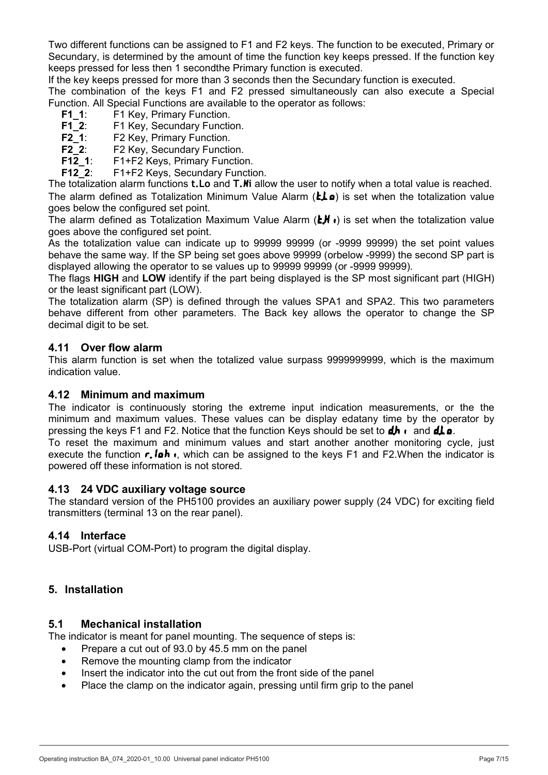Two different functions can be assigned to F1 and F2 keys. The function to be executed, Primary or Secundary, is determined by the amount of time the function key keeps pressed. If the function key keeps pressed for less then 1 secondthe Primary function is executed.

If the key keeps pressed for more than 3 seconds then the Secundary function is executed.

The combination of the keys F1 and F2 pressed simultaneously can also execute a Special Function. All Special Functions are available to the operator as follows:

- **F1\_1:** F1 Key, Primary Function.<br>**F1 2:** F1 Key, Secundary Function
- **F1\_2:** F1 Key, Secundary Function.<br>**F2 1:** F2 Key. Primary Function.
- **F2\_1:** F2 Key, Primary Function.<br>**F2 2:** F2 Key, Secundary Function.
- **F2\_2**: F2 Key, Secundary Function.
- **F12 1:** F1+F2 Keys, Primary Function.
- **F12\_2**: F1+F2 Keys, Secundary Function.

The totalization alarm functions **t.Lo** and **T.i** allow the user to notify when a total value is reached. The alarm defined as Totalization Minimum Value Alarm ( $\mathbf{L}$ ) is set when the totalization value goes below the configured set point.

The alarm defined as Totalization Maximum Value Alarm ( $E$ H) is set when the totalization value goes above the configured set point.

As the totalization value can indicate up to 99999 99999 (or -9999 99999) the set point values behave the same way. If the SP being set goes above 99999 (orbelow -9999) the second SP part is displayed allowing the operator to se values up to 99999 99999 (or -9999 99999).

The flags **HIGH** and **LOW** identify if the part being displayed is the SP most significant part (HIGH) or the least significant part (LOW).

The totalization alarm (SP) is defined through the values SPA1 and SPA2. This two parameters behave different from other parameters. The Back key allows the operator to change the SP decimal digit to be set.

### **4.11 Over flow alarm**

This alarm function is set when the totalized value surpass 9999999999, which is the maximum indication value.

#### **4.12 Minimum and maximum**

The indicator is continuously storing the extreme input indication measurements, or the the minimum and maximum values. These values can be display edatany time by the operator by pressing the keys F1 and F2. Notice that the function Keys should be set to  $dh \cdot$  and  $dh \circ$ .

To reset the maximum and minimum values and start another another monitoring cycle, just execute the function  $\mathbf{r}$ ,  $\mathbf{I}$   $\mathbf{a}$ , which can be assigned to the keys F1 and F2.When the indicator is powered off these information is not stored.

### **4.13 24 VDC auxiliary voltage source**

The standard version of the PH5100 provides an auxiliary power supply (24 VDC) for exciting field transmitters (terminal 13 on the rear panel).

#### **4.14 Interface**

USB-Port (virtual COM-Port) to program the digital display.

### **5. Installation**

#### **5.1 Mechanical installation**

The indicator is meant for panel mounting. The sequence of steps is:

- Prepare a cut out of 93.0 by 45.5 mm on the panel
- Remove the mounting clamp from the indicator
- Insert the indicator into the cut out from the front side of the panel
- Place the clamp on the indicator again, pressing until firm grip to the panel

 $\overline{\phantom{a}}$  -  $\overline{\phantom{a}}$  -  $\overline{\phantom{a}}$  -  $\overline{\phantom{a}}$  -  $\overline{\phantom{a}}$  -  $\overline{\phantom{a}}$  -  $\overline{\phantom{a}}$  -  $\overline{\phantom{a}}$  -  $\overline{\phantom{a}}$  -  $\overline{\phantom{a}}$  -  $\overline{\phantom{a}}$  -  $\overline{\phantom{a}}$  -  $\overline{\phantom{a}}$  -  $\overline{\phantom{a}}$  -  $\overline{\phantom{a}}$  -  $\overline{\phantom{a}}$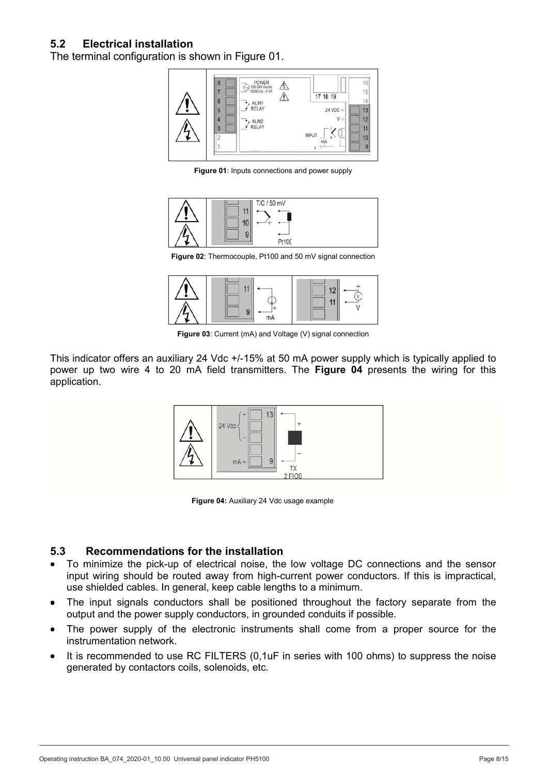### **5.2 Electrical installation**

The terminal configuration is shown in Figure 01.



**Figure 01**: Inputs connections and power supply



**Figure 02**: Thermocouple, Pt100 and 50 mV signal connection



**Figure 03**: Current (mA) and Voltage (V) signal connection

This indicator offers an auxiliary 24 Vdc +/-15% at 50 mA power supply which is typically applied to power up two wire 4 to 20 mA field transmitters. The **Figure 04** presents the wiring for this application.



**Figure 04:** Auxiliary 24 Vdc usage example

### **5.3 Recommendations for the installation**

- To minimize the pick-up of electrical noise, the low voltage DC connections and the sensor input wiring should be routed away from high-current power conductors. If this is impractical, use shielded cables. In general, keep cable lengths to a minimum.
- The input signals conductors shall be positioned throughout the factory separate from the output and the power supply conductors, in grounded conduits if possible.
- The power supply of the electronic instruments shall come from a proper source for the instrumentation network.
- It is recommended to use RC FILTERS (0,1uF in series with 100 ohms) to suppress the noise generated by contactors coils, solenoids, etc.

 $\mathcal{L} = \mathcal{L} \times \mathcal{L} = \mathcal{L} \times \mathcal{L} = \mathcal{L} \times \mathcal{L} = \mathcal{L} \times \mathcal{L} = \mathcal{L} \times \mathcal{L} = \mathcal{L} \times \mathcal{L} = \mathcal{L} \times \mathcal{L} = \mathcal{L} \times \mathcal{L} = \mathcal{L} \times \mathcal{L} = \mathcal{L} \times \mathcal{L} = \mathcal{L} \times \mathcal{L} = \mathcal{L} \times \mathcal{L} = \mathcal{L} \times \mathcal{L} = \mathcal{L} \times \mathcal{L} = \mathcal$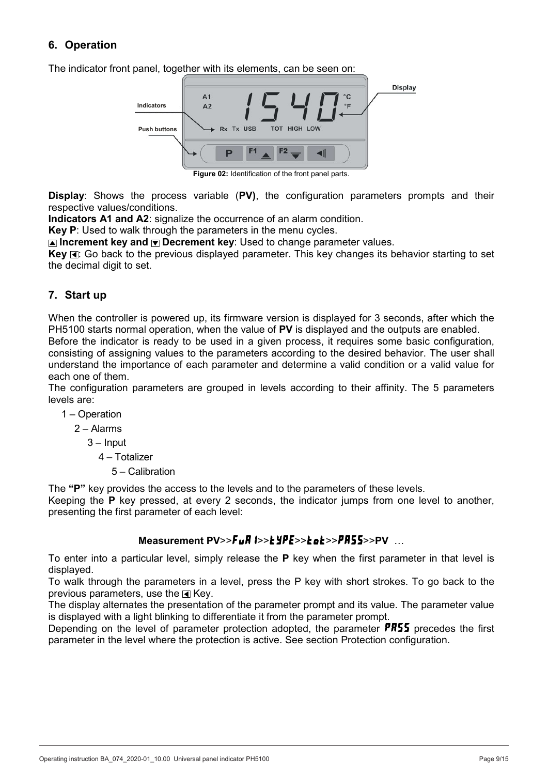## **6. Operation**

The indicator front panel, together with its elements, can be seen on:



**Figure 02:** Identification of the front panel parts.

**Display**: Shows the process variable (**PV)**, the configuration parameters prompts and their respective values/conditions.

**Indicators A1 and A2:** signalize the occurrence of an alarm condition.

**Key P**: Used to walk through the parameters in the menu cycles.

 **Increment key and Decrement key**: Used to change parameter values.

Key **I:** Go back to the previous displayed parameter. This key changes its behavior starting to set the decimal digit to set.

### **7. Start up**

When the controller is powered up, its firmware version is displayed for 3 seconds, after which the PH5100 starts normal operation, when the value of **PV** is displayed and the outputs are enabled.

Before the indicator is ready to be used in a given process, it requires some basic configuration, consisting of assigning values to the parameters according to the desired behavior. The user shall understand the importance of each parameter and determine a valid condition or a valid value for each one of them.

The configuration parameters are grouped in levels according to their affinity. The 5 parameters levels are:

1 – Operation

2 – Alarms

3 – Input

4 – Totalizer

5 – Calibration

The **"P"** key provides the access to the levels and to the parameters of these levels.

Keeping the **P** key pressed, at every 2 seconds, the indicator jumps from one level to another, presenting the first parameter of each level:

### Measurement PV>>FuR l>>E YPE>>E aE>>PR55>>PV

To enter into a particular level, simply release the **P** key when the first parameter in that level is displayed.

To walk through the parameters in a level, press the P key with short strokes. To go back to the previous parameters, use the  $\blacksquare$  Key.

The display alternates the presentation of the parameter prompt and its value. The parameter value is displayed with a light blinking to differentiate it from the parameter prompt.

Depending on the level of parameter protection adopted, the parameter  $PI55$  precedes the first parameter in the level where the protection is active. See section Protection configuration.

 $\sim$  9 - Ba $\sim$  9 - Ba $\sim$  9 - Ba $\sim$  9 - Ba $\sim$  9 - Ba $\sim$  9 - Ba $\sim$  9 - Ba $\sim$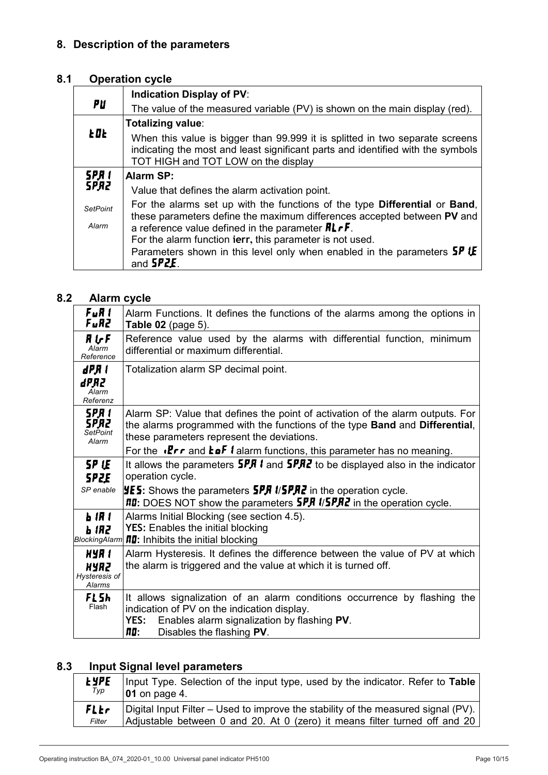# **8.1 Operation cycle**

| Pu                                                     | <b>Indication Display of PV:</b><br>The value of the measured variable $(PV)$ is shown on the main display (red).                                                                                                                                                                                                                                                                                                                                                                  |  |  |
|--------------------------------------------------------|------------------------------------------------------------------------------------------------------------------------------------------------------------------------------------------------------------------------------------------------------------------------------------------------------------------------------------------------------------------------------------------------------------------------------------------------------------------------------------|--|--|
| <b>LDL</b>                                             | Totalizing value:<br>When this value is bigger than 99.999 it is splitted in two separate screens<br>indicating the most and least significant parts and identified with the symbols<br>TOT HIGH and TOT LOW on the display                                                                                                                                                                                                                                                        |  |  |
| <b>SPRI</b><br><b>SPR2</b><br><b>SetPoint</b><br>Alarm | <b>Alarm SP:</b><br>Value that defines the alarm activation point.<br>For the alarms set up with the functions of the type <b>Differential</b> or <b>Band</b> ,<br>these parameters define the maximum differences accepted between PV and<br>a reference value defined in the parameter $\mathbf{R} \cdot \mathbf{F}$ .<br>For the alarm function ierr, this parameter is not used.<br>Parameters shown in this level only when enabled in the parameters $5P(E)$<br>and $5PZE$ . |  |  |

### **8.2 Alarm cycle**

| FuR I<br>FuR2                                    | Alarm Functions. It defines the functions of the alarms among the options in<br><b>Table 02</b> (page 5).                                                                                                                                                                                                            |  |  |  |
|--------------------------------------------------|----------------------------------------------------------------------------------------------------------------------------------------------------------------------------------------------------------------------------------------------------------------------------------------------------------------------|--|--|--|
| $R\,l\sigma F$<br>Alarm<br>Reference             | Reference value used by the alarms with differential function, minimum<br>differential or maximum differential.                                                                                                                                                                                                      |  |  |  |
| apa i<br>6P.RZ<br>Alarm<br>Referenz              | Totalization alarm SP decimal point.                                                                                                                                                                                                                                                                                 |  |  |  |
| SPR I<br><b>SPR2</b><br><b>SetPoint</b><br>Alarm | Alarm SP: Value that defines the point of activation of the alarm outputs. For<br>the alarms programmed with the functions of the type <b>Band</b> and <b>Differential</b> ,<br>these parameters represent the deviations.<br>For the $\sqrt{2}$ r and $\frac{1}{2}$ alarm functions, this parameter has no meaning. |  |  |  |
| <b>SPLE</b><br><b>SP2E</b><br>SP enable          | It allows the parameters $5P,$ I and $5P,$ to be displayed also in the indicator<br>operation cycle.<br><b>YE5:</b> Shows the parameters <b>SPR 1/SPR2</b> in the operation cycle.<br><b>ND:</b> DOES NOT show the parameters <b>SP, IISP, R2</b> in the operation cycle.                                            |  |  |  |
| <b>b</b> <i>iR i</i><br>ь IR2<br>BlockingAlarm   | Alarms Initial Blocking (see section 4.5).<br><b>YES:</b> Enables the initial blocking<br><b><i>nu</i></b> : Inhibits the initial blocking                                                                                                                                                                           |  |  |  |
| HYR I<br><b>HYR2</b><br>Hysteresis of<br>Alarms  | Alarm Hysteresis. It defines the difference between the value of PV at which<br>the alarm is triggered and the value at which it is turned off.                                                                                                                                                                      |  |  |  |
| <b>FLSh</b><br>Flash                             | It allows signalization of an alarm conditions occurrence by flashing the<br>indication of PV on the indication display.<br><b>YES:</b><br>Enables alarm signalization by flashing PV.<br>П0:<br>Disables the flashing PV.                                                                                           |  |  |  |

# **8.3 Input Signal level parameters**

| <b>LYPE</b> |                                                                                   |
|-------------|-----------------------------------------------------------------------------------|
|             | Input Type. Selection of the input type, used by the indicator. Refer to Table    |
| Typ         | 01 on page 4.                                                                     |
| FLEr        | Digital Input Filter – Used to improve the stability of the measured signal (PV). |
| Filter      | Adjustable between 0 and 20. At 0 (zero) it means filter turned off and 20        |
|             |                                                                                   |

 $\sim$  10  $\sim$  10  $\sim$  10  $\sim$  10  $\sim$  10  $\sim$  10  $\sim$  10  $\sim$  10  $\sim$  10  $\sim$  10  $\sim$  10  $\sim$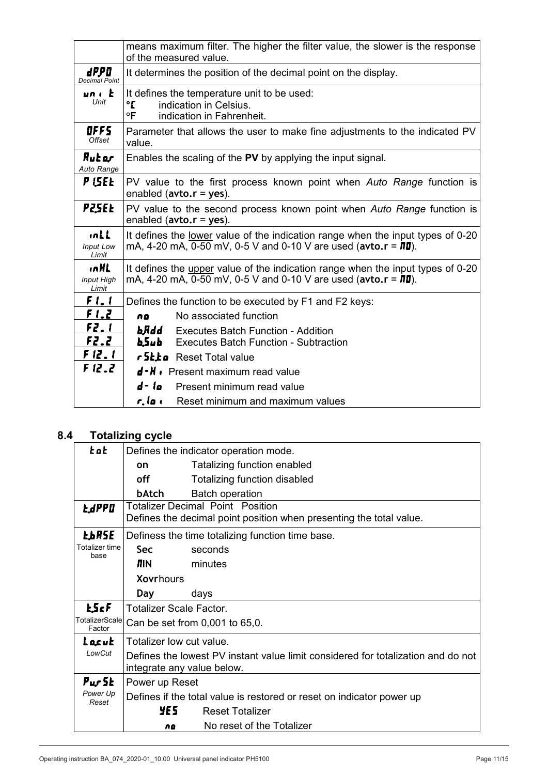|                                    | means maximum filter. The higher the filter value, the slower is the response<br>of the measured value.                                                   |  |  |
|------------------------------------|-----------------------------------------------------------------------------------------------------------------------------------------------------------|--|--|
| dppo<br><b>Decimal Point</b>       | It determines the position of the decimal point on the display.                                                                                           |  |  |
| unı E<br>Unit                      | It defines the temperature unit to be used:<br>°Ľ<br>indication in Celsius.<br>°F<br>indication in Fahrenheit.                                            |  |  |
| OFFS<br>Offset                     | Parameter that allows the user to make fine adjustments to the indicated PV<br>value.                                                                     |  |  |
| Rutor<br>Auto Range                | Enables the scaling of the PV by applying the input signal.                                                                                               |  |  |
| P LSE E                            | PV value to the first process known point when Auto Range function is<br>enabled ( $avto.r = yes$ ).                                                      |  |  |
| <b>P25EE</b>                       | PV value to the second process known point when Auto Range function is<br>enabled ( $avto.r = yes$ ).                                                     |  |  |
| inLL<br><b>Input Low</b><br>Limit  | It defines the lower value of the indication range when the input types of 0-20<br>mA, 4-20 mA, 0-50 mV, 0-5 V and 0-10 V are used (avto.r = $\vec{M}$ ). |  |  |
| <b>inHL</b><br>input High<br>Limit | It defines the upper value of the indication range when the input types of 0-20<br>mA, 4-20 mA, 0-50 mV, 0-5 V and 0-10 V are used (avto.r = $\vec{M}$ ). |  |  |
| FI.1                               | Defines the function to be executed by F1 and F2 keys:                                                                                                    |  |  |
| F1.2                               | No associated function<br>n o                                                                                                                             |  |  |
| F2.1                               | badd<br><b>Executes Batch Function - Addition</b>                                                                                                         |  |  |
| <b>F2.2</b>                        | b.Sub<br><b>Executes Batch Function - Subtraction</b>                                                                                                     |  |  |
| F 12.1                             | r Stra Reset Total value                                                                                                                                  |  |  |
| F 12.2                             | d-H : Present maximum read value                                                                                                                          |  |  |
|                                    | d - lo<br>Present minimum read value                                                                                                                      |  |  |
|                                    | r, la ı<br>Reset minimum and maximum values                                                                                                               |  |  |

# **8.4 Totalizing cycle**

| <b>Lot</b>                    | Defines the indicator operation mode.                                            |                                                                     |  |
|-------------------------------|----------------------------------------------------------------------------------|---------------------------------------------------------------------|--|
|                               | <b>on</b>                                                                        | Tatalizing function enabled                                         |  |
|                               | off                                                                              | <b>Totalizing function disabled</b>                                 |  |
|                               | bAtch                                                                            | <b>Batch operation</b>                                              |  |
| <b>L</b> dPPD                 |                                                                                  | <b>Totalizer Decimal Point Position</b>                             |  |
|                               |                                                                                  | Defines the decimal point position when presenting the total value. |  |
| <b>LARSE</b>                  |                                                                                  | Definess the time totalizing function time base.                    |  |
| <b>Totalizer time</b><br>base | Sec                                                                              | seconds                                                             |  |
|                               | <b>MIN</b>                                                                       | minutes                                                             |  |
|                               | <b>Xovrhours</b>                                                                 |                                                                     |  |
|                               | <b>Day</b>                                                                       | days                                                                |  |
| <b>EScF</b>                   | <b>Totalizer Scale Factor.</b>                                                   |                                                                     |  |
| TotalizerScale<br>Factor      | Can be set from 0,001 to 65,0.                                                   |                                                                     |  |
| Locut                         | Totalizer low cut value.                                                         |                                                                     |  |
| LowCut                        | Defines the lowest PV instant value limit considered for totalization and do not |                                                                     |  |
|                               | integrate any value below.                                                       |                                                                     |  |
| Pur 5E                        | Power up Reset                                                                   |                                                                     |  |
| Power Up<br>Reset             | Defines if the total value is restored or reset on indicator power up            |                                                                     |  |
|                               | YES.                                                                             | <b>Reset Totalizer</b>                                              |  |
|                               | nΩ                                                                               | No reset of the Totalizer                                           |  |

- 11 - BA\_074e, Rev.1C5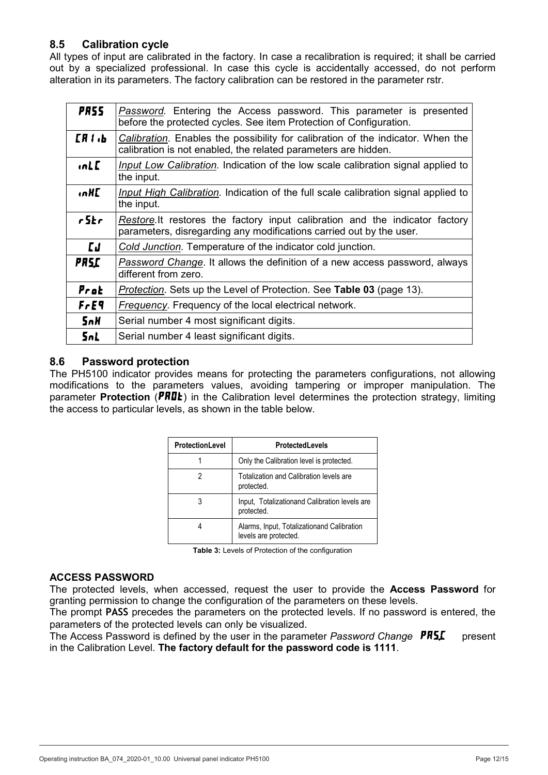### **8.5 Calibration cycle**

All types of input are calibrated in the factory. In case a recalibration is required; it shall be carried out by a specialized professional. In case this cycle is accidentally accessed, do not perform alteration in its parameters. The factory calibration can be restored in the parameter rstr.

| PRSS         | <b>Password.</b> Entering the Access password. This parameter is presented<br>before the protected cycles. See item Protection of Configuration.    |  |  |
|--------------|-----------------------------------------------------------------------------------------------------------------------------------------------------|--|--|
| $LR1$ .b     | Calibration. Enables the possibility for calibration of the indicator. When the<br>calibration is not enabled, the related parameters are hidden.   |  |  |
| nLI          | <i>Input Low Calibration.</i> Indication of the low scale calibration signal applied to<br>the input.                                               |  |  |
| <b>In HC</b> | Input High Calibration. Indication of the full scale calibration signal applied to<br>the input.                                                    |  |  |
| r Str        | Restore. It restores the factory input calibration and the indicator factory<br>parameters, disregarding any modifications carried out by the user. |  |  |
| [d           | Cold Junction. Temperature of the indicator cold junction.                                                                                          |  |  |
| PRSC         | <i>Password Change.</i> It allows the definition of a new access password, always<br>different from zero.                                           |  |  |
| Prot         | <i>Protection.</i> Sets up the Level of Protection. See <b>Table 03</b> (page 13).                                                                  |  |  |
| <b>Freq</b>  | <i>Frequency.</i> Frequency of the local electrical network.                                                                                        |  |  |
| <b>SnH</b>   | Serial number 4 most significant digits.                                                                                                            |  |  |
| <b>SnL</b>   | Serial number 4 least significant digits.                                                                                                           |  |  |
|              |                                                                                                                                                     |  |  |

### **8.6 Password protection**

The PH5100 indicator provides means for protecting the parameters configurations, not allowing modifications to the parameters values, avoiding tampering or improper manipulation. The parameter **Protection** (**PRDL**) in the Calibration level determines the protection strategy, limiting the access to particular levels, as shown in the table below.

| <b>ProtectionLevel</b> | <b>ProtectedLevels</b>                                              |
|------------------------|---------------------------------------------------------------------|
|                        | Only the Calibration level is protected.                            |
|                        | Totalization and Calibration levels are<br>protected.               |
|                        | Input, Totalizationand Calibration levels are<br>protected.         |
|                        | Alarms, Input, Totalizationand Calibration<br>levels are protected. |

**Table 3:** Levels of Protection of the configuration

#### **ACCESS PASSWORD**

The protected levels, when accessed, request the user to provide the **Access Password** for granting permission to change the configuration of the parameters on these levels.

The prompt **PASS** precedes the parameters on the protected levels. If no password is entered, the parameters of the protected levels can only be visualized.

The Access Password is defined by the user in the parameter *Password Change* **PR5.** present in the Calibration Level. **The factory default for the password code is 1111**.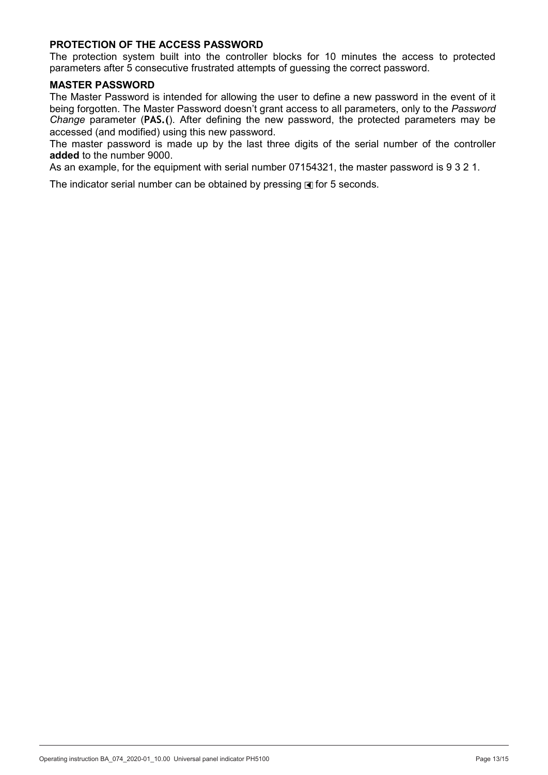#### **PROTECTION OF THE ACCESS PASSWORD**

The protection system built into the controller blocks for 10 minutes the access to protected parameters after 5 consecutive frustrated attempts of guessing the correct password.

#### **MASTER PASSWORD**

The Master Password is intended for allowing the user to define a new password in the event of it being forgotten. The Master Password doesn't grant access to all parameters, only to the *Password Change* parameter (**PAS.(**). After defining the new password, the protected parameters may be accessed (and modified) using this new password.

The master password is made up by the last three digits of the serial number of the controller **added** to the number 9000.

As an example, for the equipment with serial number 07154321, the master password is 9 3 2 1.

The indicator serial number can be obtained by pressing  $\blacksquare$  for 5 seconds.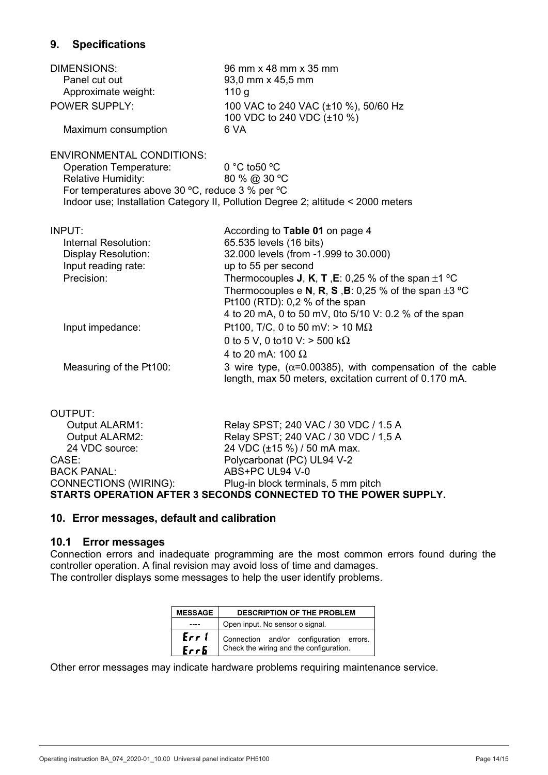### **9. Specifications**

| <b>DIMENSIONS:</b><br>Panel cut out<br>Approximate weight:                                             | 96 mm x 48 mm x 35 mm<br>93,0 mm x 45,5 mm<br>110 <sub>q</sub>                                                                                                                                                                                                                                                                                                                |
|--------------------------------------------------------------------------------------------------------|-------------------------------------------------------------------------------------------------------------------------------------------------------------------------------------------------------------------------------------------------------------------------------------------------------------------------------------------------------------------------------|
| <b>POWER SUPPLY:</b><br>Maximum consumption                                                            | 100 VAC to 240 VAC (±10 %), 50/60 Hz<br>100 VDC to 240 VDC (±10 %)<br>6 VA                                                                                                                                                                                                                                                                                                    |
| <b>ENVIRONMENTAL CONDITIONS:</b>                                                                       |                                                                                                                                                                                                                                                                                                                                                                               |
| <b>Operation Temperature:</b><br>Relative Humidity:<br>For temperatures above 30 °C, reduce 3 % per °C | $0 °C$ to $50 °C$<br>80 % @ 30 °C                                                                                                                                                                                                                                                                                                                                             |
|                                                                                                        | Indoor use; Installation Category II, Pollution Degree 2; altitude < 2000 meters                                                                                                                                                                                                                                                                                              |
| INPUT:<br>Internal Resolution:<br><b>Display Resolution:</b><br>Input reading rate:<br>Precision:      | According to Table 01 on page 4<br>65.535 levels (16 bits)<br>32.000 levels (from -1.999 to 30.000)<br>up to 55 per second<br>Thermocouples <b>J</b> , <b>K</b> , <b>T</b> , <b>E</b> : 0,25 % of the span $\pm$ 1 °C<br>Thermocouples e N, R, S, B: 0,25 % of the span $\pm 3$ °C<br>Pt100 (RTD): 0,2 % of the span<br>4 to 20 mA, 0 to 50 mV, 0to 5/10 V: 0.2 % of the span |
| Input impedance:                                                                                       | Pt100, T/C, 0 to 50 mV: $> 10 M\Omega$<br>0 to 5 V, 0 to 10 V: $>$ 500 k $\Omega$<br>4 to 20 mA: 100 $\Omega$                                                                                                                                                                                                                                                                 |
| Measuring of the Pt100:                                                                                | 3 wire type, $(\alpha=0.00385)$ , with compensation of the cable<br>length, max 50 meters, excitation current of 0.170 mA.                                                                                                                                                                                                                                                    |
| OUTPUT:                                                                                                |                                                                                                                                                                                                                                                                                                                                                                               |
| Output ALARM1:                                                                                         | Relay SPST; 240 VAC / 30 VDC / 1.5 A                                                                                                                                                                                                                                                                                                                                          |

| <b>Output ALARM2:</b>                                           | Relay SPST; 240 VAC / 30 VDC / 1,5 A |
|-----------------------------------------------------------------|--------------------------------------|
| 24 VDC source:                                                  | 24 VDC (±15 %) / 50 mA max.          |
| CASE:                                                           | Polycarbonat (PC) UL94 V-2           |
| <b>BACK PANAL:</b>                                              | ABS+PC UL94 V-0                      |
| <b>CONNECTIONS (WIRING):</b>                                    | Plug-in block terminals, 5 mm pitch  |
| STARTS OPERATION AFTER 3 SECONDS CONNECTED TO THE POWER SUPPLY. |                                      |
|                                                                 |                                      |

### **10. Error messages, default and calibration**

### **10.1 Error messages**

Connection errors and inadequate programming are the most common errors found during the controller operation. A final revision may avoid loss of time and damages. The controller displays some messages to help the user identify problems.

| <b>MESSAGE</b> | <b>DESCRIPTION OF THE PROBLEM</b>                                                  |  |
|----------------|------------------------------------------------------------------------------------|--|
|                | Open input. No sensor o signal.                                                    |  |
| Errl<br>Errb   | Connection and/or configuration errors.<br>Check the wiring and the configuration. |  |

Other error messages may indicate hardware problems requiring maintenance service.

 $\sim$  14  $\sim$  14  $\sim$  14  $\sim$  14  $\sim$  14  $\sim$  14  $\sim$  14  $\sim$  14  $\sim$  14  $\sim$  14  $\sim$